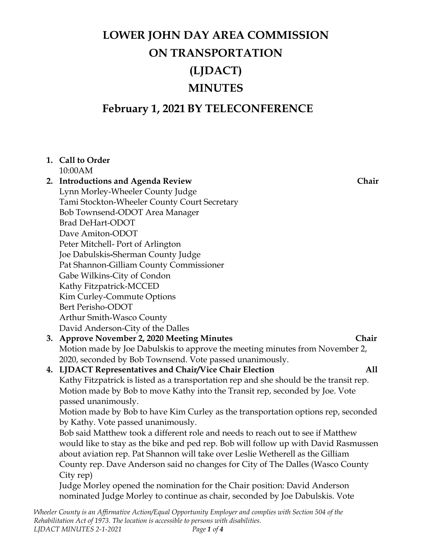# **February 1, 2021 BY TELECONFERENCE**

## **1. Call to Order**

10:00AM

## **2. Introductions and Agenda Review Chair** Lynn Morley-Wheeler County Judge Tami Stockton-Wheeler County Court Secretary Bob Townsend-ODOT Area Manager Brad DeHart-ODOT Dave Amiton-ODOT Peter Mitchell- Port of Arlington Joe Dabulskis**-**Sherman County Judge Pat Shannon-Gilliam County Commissioner Gabe Wilkins-City of Condon Kathy Fitzpatrick-MCCED Kim Curley-Commute Options Bert Perisho-ODOT Arthur Smith-Wasco County David Anderson-City of the Dalles

## **3. Approve November 2, 2020 Meeting Minutes Chair** Motion made by Joe Dabulskis to approve the meeting minutes from November 2, 2020, seconded by Bob Townsend. Vote passed unanimously.

### **4. LJDACT Representatives and Chair/Vice Chair Election All**

Kathy Fitzpatrick is listed as a transportation rep and she should be the transit rep. Motion made by Bob to move Kathy into the Transit rep, seconded by Joe. Vote passed unanimously.

Motion made by Bob to have Kim Curley as the transportation options rep, seconded by Kathy. Vote passed unanimously.

Bob said Matthew took a different role and needs to reach out to see if Matthew would like to stay as the bike and ped rep. Bob will follow up with David Rasmussen about aviation rep. Pat Shannon will take over Leslie Wetherell as the Gilliam County rep. Dave Anderson said no changes for City of The Dalles (Wasco County City rep)

Judge Morley opened the nomination for the Chair position: David Anderson nominated Judge Morley to continue as chair, seconded by Joe Dabulskis. Vote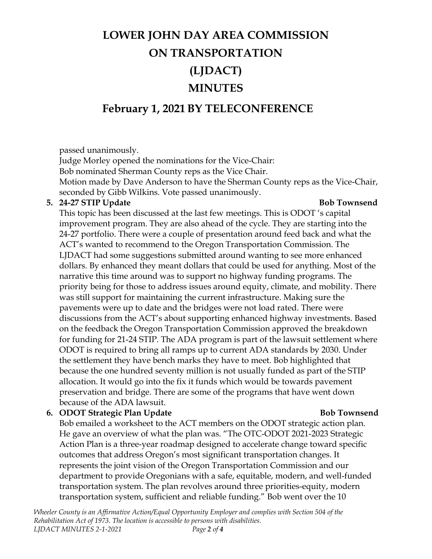# **February 1, 2021 BY TELECONFERENCE**

passed unanimously.

Judge Morley opened the nominations for the Vice-Chair:

Bob nominated Sherman County reps as the Vice Chair.

Motion made by Dave Anderson to have the Sherman County reps as the Vice-Chair, seconded by Gibb Wilkins. Vote passed unanimously.

### **5. 24-27 STIP Update Bob Townsend**

This topic has been discussed at the last few meetings. This is ODOT 's capital improvement program. They are also ahead of the cycle. They are starting into the 24-27 portfolio. There were a couple of presentation around feed back and what the ACT's wanted to recommend to the Oregon Transportation Commission. The LJDACT had some suggestions submitted around wanting to see more enhanced dollars. By enhanced they meant dollars that could be used for anything. Most of the narrative this time around was to support no highway funding programs. The priority being for those to address issues around equity, climate, and mobility. There was still support for maintaining the current infrastructure. Making sure the pavements were up to date and the bridges were not load rated. There were discussions from the ACT's about supporting enhanced highway investments. Based on the feedback the Oregon Transportation Commission approved the breakdown for funding for 21-24 STIP. The ADA program is part of the lawsuit settlement where ODOT is required to bring all ramps up to current ADA standards by 2030. Under the settlement they have bench marks they have to meet. Bob highlighted that because the one hundred seventy million is not usually funded as part of the STIP allocation. It would go into the fix it funds which would be towards pavement preservation and bridge. There are some of the programs that have went down because of the ADA lawsuit.

### **6. ODOT Strategic Plan Update Bob Townsend**

Bob emailed a worksheet to the ACT members on the ODOT strategic action plan. He gave an overview of what the plan was. "The OTC-ODOT 2021-2023 Strategic Action Plan is a three-year roadmap designed to accelerate change toward specific outcomes that address Oregon's most significant transportation changes. It represents the joint vision of the Oregon Transportation Commission and our department to provide Oregonians with a safe, equitable, modern, and well-funded transportation system. The plan revolves around three priorities-equity, modern transportation system, sufficient and reliable funding." Bob went over the 10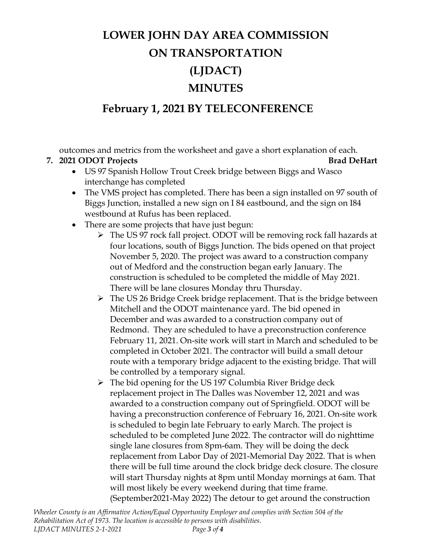# **February 1, 2021 BY TELECONFERENCE**

outcomes and metrics from the worksheet and gave a short explanation of each.

## **7. 2021 ODOT Projects Brad DeHart**

- US 97 Spanish Hollow Trout Creek bridge between Biggs and Wasco interchange has completed
- The VMS project has completed. There has been a sign installed on 97 south of Biggs Junction, installed a new sign on I 84 eastbound, and the sign on I84 westbound at Rufus has been replaced.
- There are some projects that have just begun:
	- The US 97 rock fall project. ODOT will be removing rock fall hazards at four locations, south of Biggs Junction. The bids opened on that project November 5, 2020. The project was award to a construction company out of Medford and the construction began early January. The construction is scheduled to be completed the middle of May 2021. There will be lane closures Monday thru Thursday.
	- $\triangleright$  The US 26 Bridge Creek bridge replacement. That is the bridge between Mitchell and the ODOT maintenance yard. The bid opened in December and was awarded to a construction company out of Redmond. They are scheduled to have a preconstruction conference February 11, 2021. On-site work will start in March and scheduled to be completed in October 2021. The contractor will build a small detour route with a temporary bridge adjacent to the existing bridge. That will be controlled by a temporary signal.
	- The bid opening for the US 197 Columbia River Bridge deck replacement project in The Dalles was November 12, 2021 and was awarded to a construction company out of Springfield. ODOT will be having a preconstruction conference of February 16, 2021. On-site work is scheduled to begin late February to early March. The project is scheduled to be completed June 2022. The contractor will do nighttime single lane closures from 8pm-6am. They will be doing the deck replacement from Labor Day of 2021-Memorial Day 2022. That is when there will be full time around the clock bridge deck closure. The closure will start Thursday nights at 8pm until Monday mornings at 6am. That will most likely be every weekend during that time frame. (September2021-May 2022) The detour to get around the construction